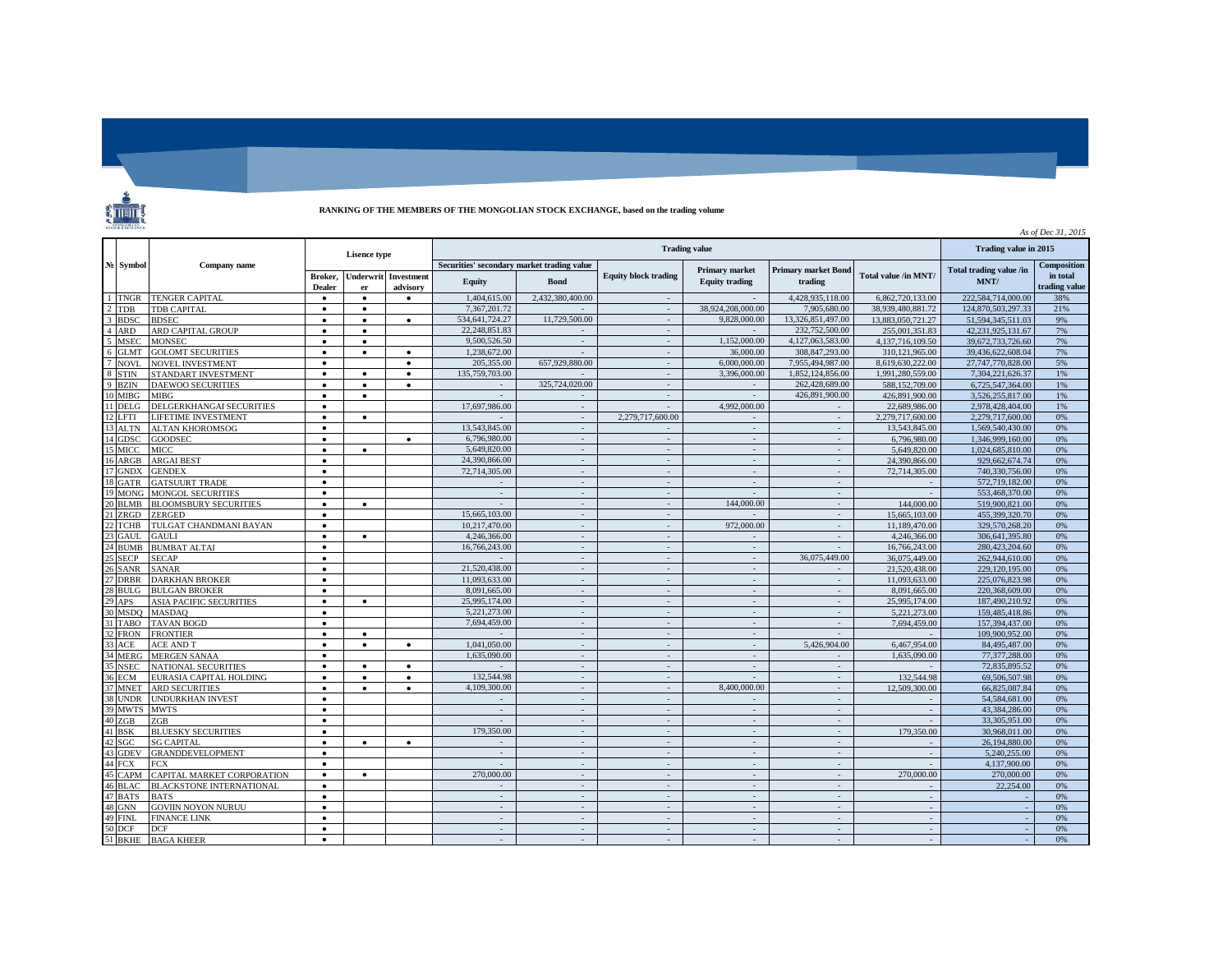

## **RANKING OF THE MEMBERS OF THE MONGOLIAN STOCK EXCHANGE, based on the trading volume**

|                                       |                                 |                          |                        |                               |                                            |                       |                             |                                         |                                       |                      | As of Dec 31, 2015              |                           |
|---------------------------------------|---------------------------------|--------------------------|------------------------|-------------------------------|--------------------------------------------|-----------------------|-----------------------------|-----------------------------------------|---------------------------------------|----------------------|---------------------------------|---------------------------|
| No Symbol                             | Company name                    | <b>Lisence</b> type      |                        |                               |                                            | Trading value in 2015 |                             |                                         |                                       |                      |                                 |                           |
|                                       |                                 |                          |                        |                               | Securities' secondary market trading value |                       |                             |                                         |                                       |                      |                                 | <b>Composition</b>        |
|                                       |                                 | Broker.<br><b>Dealer</b> | <b>Underwrit</b><br>er | <b>Investment</b><br>advisory | <b>Equity</b>                              | <b>Bond</b>           | <b>Equity block trading</b> | Primary market<br><b>Equity trading</b> | <b>Primary market Bond</b><br>trading | Total value /in MNT/ | Total trading value /in<br>MNT/ | in total<br>trading value |
| <b>TNGR</b>                           | <b>TENGER CAPITAL</b>           |                          | $\bullet$              | $\bullet$                     | 1.404.615.00                               | 2,432,380,400.00      | $\sim$                      |                                         | 4.428.935.118.00                      | 6.862,720,133.00     | 222.584.714.000.00              | 38%                       |
| TDB<br>$\mathcal{D}$                  | TDB CAPITAL                     | $\bullet$                | $\bullet$              |                               | 7.367.201.72                               |                       | $\sim$                      | 38.924.208.000.00                       | 7.905.680.00                          | 38.939.480.881.72    | 124.870.503.297.33              | 21%                       |
| 3<br><b>BDSC</b>                      | <b>BDSEC</b>                    | $\bullet$                | $\bullet$              | $\bullet$                     | 534,641,724.27                             | 11,729,500.00         | $\sim$                      | 9.828,000.00                            | 13.326.851.497.00                     | 13.883.050.721.27    | 51.594.345.511.03               | 9%                        |
| $\boldsymbol{\Lambda}$<br><b>ARD</b>  | ARD CAPITAL GROUP               |                          | $\bullet$              |                               | 22.248.851.83                              |                       | ÷.                          |                                         | 232,752,500.00                        | 255,001.351.83       | 42.231.925.131.67               | 7%                        |
| $\overline{\phantom{0}}$<br>MSEC      | <b>MONSEC</b>                   | $\bullet$                | $\bullet$              |                               | 9.500.526.50                               | $\sim$                | $\sim$                      | 1,152,000.00                            | 4.127.063.583.00                      | 4.137.716.109.50     | 39.672.733.726.60               | 7%                        |
| 6<br><b>GLMT</b>                      | <b>GOLOMT SECURITIES</b>        | $\bullet$                | $\bullet$              | $\bullet$                     | 1,238,672.00                               | $\sim$                | $\sim$                      | 36,000.00                               | 308,847,293.00                        | 310, 121, 965.00     | 39,436,622,608.04               | 7%                        |
| $\overline{7}$<br><b>NOVI</b>         | <b>NOVEL INVESTMENT</b>         | $\bullet$                |                        | ٠                             | 205,355,00                                 | 657,929,880.00        | $\sim$                      | 6,000,000.00                            | 7.955.494.987.00                      | 8.619.630.222.00     | 27,747,770,828.00               | 5%                        |
| $\mathbf{\mathcal{R}}$<br><b>STIN</b> | STANDART INVESTMENT             | $\bullet$                | $\bullet$              | $\bullet$                     | 135,759,703.00                             |                       | $\sim$                      | 3.396.000.00                            | 1.852.124.856.00                      | 1,991,280,559.00     | 7.304.221.626.37                | 1%                        |
| $\mathbf{Q}$<br><b>BZIN</b>           | <b>DAEWOO SECURITIES</b>        | $\bullet$                | $\bullet$              | $\bullet$                     | $\overline{\phantom{a}}$                   | 325,724,020,00        | $\sim$                      | $\overline{\phantom{a}}$                | 262,428,689.00                        | 588,152,709.00       | 6.725.547.364.00                | 1%                        |
| 10<br><b>MIBG</b>                     | <b>MIBG</b>                     | $\bullet$                | $\bullet$              |                               | $\sim$                                     |                       | $\sim$                      |                                         | 426,891,900.00                        | 426,891,900.00       | 3,526,255,817.00                | 1%                        |
| 11<br>DELG                            | DELGERKHANGAI SECURITIES        | ٠                        |                        |                               | 17,697,986.00                              | $\sim$                | $\sim$                      | 4.992.000.00                            | $\sim$                                | 22.689.986.00        | 2.978.428.404.00                | 1%                        |
| <b>FTI</b>                            | <b>LIFETIME INVESTMENT</b>      |                          | $\bullet$              |                               |                                            | $\sim$                | 2,279,717,600.00            |                                         | $\sim$                                | 2.279,717,600.00     | 2.279.717.600.00                | 0%                        |
| 13<br><b>ALTN</b>                     | <b>ALTAN KHOROMSOG</b>          | $\bullet$                |                        |                               | 13,543,845.00                              | $\sim$                |                             | $\sim$                                  | $\sim$                                | 13,543,845.00        | 1.569.540.430.00                | 0%                        |
| GDSC<br>14                            | <b>GOODSEC</b>                  | $\bullet$                |                        | ٠                             | 6,796,980.00                               | $\sim$                | $\sim$                      | $\sim$                                  | $\sim$                                | 6,796,980.00         | 1,346,999,160.00                | 0%                        |
| 15<br><b>MICC</b>                     | MICC.                           | $\bullet$                | $\bullet$              |                               | 5.649.820.00                               | $\sim$                |                             | $\sim$                                  | $\sim$                                | 5.649.820.00         | 1.024.685.810.00                | 0%                        |
| 16<br>ARGB                            | <b>ARGAI BEST</b>               | $\bullet$                |                        |                               | 24,390,866.00                              | $\sim$                | $\sim$                      | $\sim$                                  | $\sim$                                | 24,390,866.00        | 929,662,674.74                  | 0%                        |
| 17<br><b>GNDX</b>                     | <b>GENDEX</b>                   | $\bullet$                |                        |                               | 72,714,305.00                              | $\sim$                | $\sim$                      | $\sim$                                  | $\sim$                                | 72,714,305.00        | 740,330,756.00                  | 0%                        |
| 18<br>GATR                            | <b>GATSUURT TRADE</b>           | $\bullet$                |                        |                               |                                            | $\sim$                | $\sim$                      | $\mathcal{L}$                           | $\sim$                                |                      | 572,719,182.00                  | 0%                        |
| 19<br><b>MONG</b>                     | <b>MONGOL SECURITIES</b>        | $\bullet$                |                        |                               | $\bar{a}$                                  | $\sim$                | $\sim$                      |                                         | $\sim$                                |                      | 553,468,370.00                  | 0%                        |
| 20<br><b>BLMB</b>                     | <b>BLOOMSBURY SECURITIES</b>    |                          | $\bullet$              |                               | $\sim$                                     | $\sim$                | $\sim$                      | 144,000.00                              | $\sim$                                | 144,000.00           | 519,900.821.00                  | 0%                        |
| 21<br>ZRGD                            | ZERGED                          | $\bullet$                |                        |                               | 15,665,103.00                              | $\sim$                | $\sim$                      |                                         | $\sim$                                | 15,665,103,00        | 455,399,320.70                  | 0%                        |
| <b>TCHB</b>                           | TULGAT CHANDMANI BAYAN          | $\bullet$                |                        |                               | 10,217,470.00                              | $\sim$                | $\sim$                      | 972,000.00                              | $\sim$                                | 11,189,470.00        | 329,570,268.20                  | 0%                        |
| 23<br><b>GAUL</b>                     | <b>GAULI</b>                    |                          | $\bullet$              |                               | 4.246.366.00                               | $\omega$              | $\sim$                      |                                         | $\sim$                                | 4.246.366.00         | 306.641.395.80                  | 0%                        |
| <b>BUMB</b><br>24                     | <b>BUMBAT ALTAI</b>             | $\bullet$                |                        |                               | 16,766,243.00                              | $\sim$                | $\sim$                      | $\sim$                                  | $\sim$                                | 16,766,243.00        | 280,423,204.60                  | 0%                        |
| 25 SECP                               | <b>SECAP</b>                    | $\bullet$                |                        |                               |                                            | $\sim$                | $\sim$                      | $\overline{\phantom{a}}$                | 36,075,449.00                         | 36,075,449.00        | 262,944,610.00                  | 0%                        |
| 26<br><b>SANR</b>                     | <b>SANAR</b>                    | $\bullet$                |                        |                               | 21,520,438.00                              | $\sim$                | $\sim$                      |                                         |                                       | 21,520,438.00        | 229,120,195.00                  | 0%                        |
| 27 DRBR                               | <b>DARKHAN BROKER</b>           | $\bullet$                |                        |                               | 11.093.633.00                              | $\sim$                | $\sim$                      | $\sim$                                  | $\sim$                                | 11.093.633.00        | 225,076,823.98                  | 0%                        |
| 28<br><b>BULG</b>                     | <b>BULGAN BROKER</b>            | $\bullet$                |                        |                               | 8.091.665.00                               | $\sim$                | $\sim$                      | $\overline{\phantom{a}}$                | $\sim$                                | 8.091.665.00         | 220,368,609.00                  | 0%                        |
| 29<br>APS                             | <b>ASIA PACIFIC SECURITIES</b>  | $\bullet$                | $\bullet$              |                               | 25,995,174.00                              | $\sim$                | $\sim$                      | $\sim$                                  | $\sim$                                | 25,995,174.00        | 187,490,210.92                  | 0%                        |
| 30 MSDO                               | <b>MASDAO</b>                   | $\bullet$                |                        |                               | 5,221,273.00                               | $\sim$                | $\sim$                      | $\sim$                                  | $\sim$                                | 5,221,273.00         | 159.485.418.86                  | 0%                        |
| 31<br>TABO                            | <b>TAVAN BOGD</b>               |                          |                        |                               | 7,694,459.00                               | $\sim$                | $\sim$                      | $\sim$                                  | $\sim$                                | 7,694,459.00         | 157,394,437.00                  | 0%                        |
| <b>FRON</b><br>32                     | <b>FRONTIER</b>                 | $\bullet$                | $\bullet$              |                               |                                            | $\sim$                | $\sim$                      | $\sim$                                  | $\sim$                                |                      | 109,900,952.00                  | 0%                        |
| 33<br>ACE                             | <b>ACE AND T</b>                | $\bullet$                | $\bullet$              | $\bullet$                     | 1.041.050.00                               | $\sim$                | $\sim$                      | $\sim$                                  | 5.426.904.00                          | 6.467.954.00         | 84,495,487.00                   | 0%                        |
| 34<br><b>MERG</b>                     | <b>MERGEN SANAA</b>             |                          |                        |                               | 1,635,090.00                               | $\sim$                |                             |                                         |                                       | 1.635.090.00         | 77,377,288.00                   | 0%                        |
| 35<br><b>NSEC</b>                     | <b>NATIONAL SECURITIES</b>      | $\bullet$                | $\bullet$              | $\bullet$                     |                                            | $\sim$                | $\sim$                      | $\sim$                                  | $\sim$                                |                      | 72,835,895.52                   | 0%                        |
| ECM                                   | EURASIA CAPITAL HOLDING         | $\bullet$                | $\bullet$              | $\bullet$                     | 132,544.98                                 | $\sim$                | $\sim$                      | $\sim$                                  | $\sim$                                | 132,544.98           | 69,506,507.98                   | 0%                        |
| MNET                                  | <b>ARD SECURITIES</b>           | $\bullet$                | $\bullet$              | $\bullet$                     | 4.109.300.00                               | $\sim$                |                             | 8,400,000,00                            | $\sim$                                | 12,509,300.00        | 66,825,087.84                   | 0%                        |
| 38<br><b>UNDR</b>                     | UNDURKHAN INVEST                | $\bullet$                |                        |                               | $\overline{\phantom{a}}$                   | $\sim$                | $\sim$                      | $\sim$                                  | $\sim$                                |                      | 54,584,681.00                   | 0%                        |
| 39 MWTS                               | <b>MWTS</b>                     | $\bullet$                |                        |                               | $\sim$                                     | $\sim$                | $\sim$                      | $\sim$                                  | $\sim$                                | $\sim$               | 43.384.286.00                   | 0%                        |
| 40 ZGB                                | ZGB                             | $\bullet$                |                        |                               | $\sim$                                     | $\sim$                | $\sim$                      | $\mathbb{Z}^2$                          | $\sim$                                |                      | 33,305,951.00                   | 0%                        |
| 41<br><b>BSK</b>                      | <b>BLUESKY SECURITIES</b>       | $\bullet$                |                        |                               | 179,350.00                                 | $\sim$                | $\sim$                      | $\overline{\phantom{a}}$                | $\sim$                                | 179,350.00           | 30,968,011.00                   | 0%                        |
| 42<br>SGC                             | <b>SG CAPITAL</b>               | $\bullet$                | $\bullet$              | $\bullet$                     | $\sim$                                     | $\sim$                | $\sim$                      | $\sim$                                  | $\sim$                                | $\sim$               | 26,194,880.00                   | 0%                        |
| 43 GDEV                               | <b>GRANDDEVELOPMENT</b>         | $\bullet$                |                        |                               | $\sim$                                     | $\sim$                | $\sim$                      | $\sim$                                  | $\sim$                                |                      | 5.240.255.00                    | 0%                        |
| 44<br><b>FCX</b>                      | <b>FCX</b>                      | $\bullet$                |                        |                               |                                            | $\sim$                | $\sim$                      | $\sim$                                  | $\sim$                                |                      | 4.137.900.00                    | 0%                        |
| 45<br>CAPM                            | CAPITAL MARKET CORPORATION      | $\bullet$                | $\bullet$              |                               | 270,000,00                                 | $\sim$                | $\sim$                      | $\sim$                                  | $\omega$                              | 270,000,00           | 270,000.00                      | 0%                        |
| 46<br><b>BLAC</b>                     | <b>BLACKSTONE INTERNATIONAL</b> | $\bullet$                |                        |                               | $\sim$                                     | $\sim$                | $\sim$                      | $\sim$                                  | $\sim$                                |                      | 22,254.00                       | 0%                        |
| 47 BATS                               | <b>BATS</b>                     | $\bullet$                |                        |                               | $\sim$                                     | $\sim$                | $\sim$                      | $\sim$                                  | $\sim$                                | $\sim$               |                                 | 0%                        |
| 48<br>GNN                             | GOVIIN NOYON NURUU              | $\bullet$                |                        |                               | $\sim$                                     | $\sim$                | ÷.                          | $\sim$                                  | $\sim$                                |                      |                                 | 0%                        |
| 49 FINL                               | <b>FINANCE LINK</b>             | $\bullet$                |                        |                               | $\sim$                                     | $\sim$                | $\sim$                      | $\sim$                                  | $\sim$                                | $\sim$               |                                 | 0%                        |
| 50<br><b>DCF</b>                      | <b>DCF</b>                      | $\bullet$                |                        |                               | $\sim$                                     | $\sim$                | $\sim$                      | $\sim$                                  | $\sim$                                |                      |                                 | 0%                        |
| 51 BKHE                               | <b>BAGA KHEER</b>               | $\bullet$                |                        |                               | $\sim$                                     | $\sim$                | in 1                        | $\sim$                                  | $\sim$                                |                      |                                 | 0%                        |